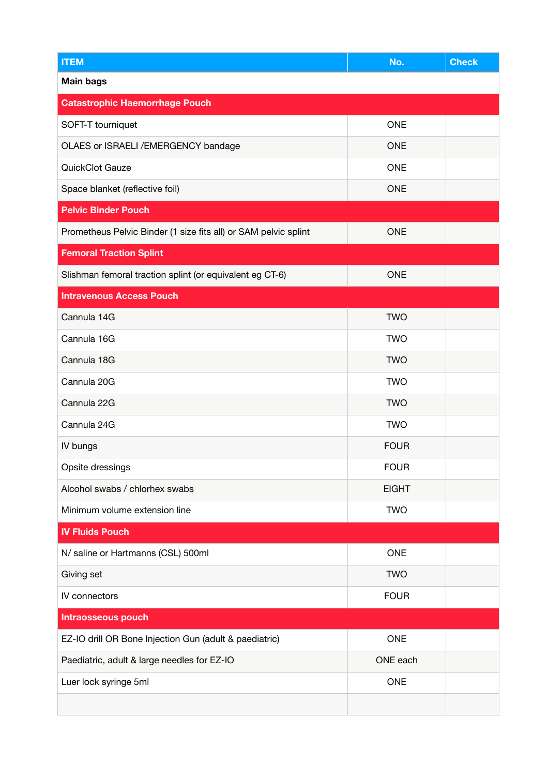| <b>ITEM</b>                                                     | No.          | <b>Check</b> |
|-----------------------------------------------------------------|--------------|--------------|
| <b>Main bags</b>                                                |              |              |
| <b>Catastrophic Haemorrhage Pouch</b>                           |              |              |
| SOFT-T tourniquet                                               | <b>ONE</b>   |              |
| OLAES or ISRAELI / EMERGENCY bandage                            | <b>ONE</b>   |              |
| QuickClot Gauze                                                 | <b>ONE</b>   |              |
| Space blanket (reflective foil)                                 | <b>ONE</b>   |              |
| <b>Pelvic Binder Pouch</b>                                      |              |              |
| Prometheus Pelvic Binder (1 size fits all) or SAM pelvic splint | <b>ONE</b>   |              |
| <b>Femoral Traction Splint</b>                                  |              |              |
| Slishman femoral traction splint (or equivalent eg CT-6)        | <b>ONE</b>   |              |
| <b>Intravenous Access Pouch</b>                                 |              |              |
| Cannula 14G                                                     | <b>TWO</b>   |              |
| Cannula 16G                                                     | <b>TWO</b>   |              |
| Cannula 18G                                                     | <b>TWO</b>   |              |
| Cannula 20G                                                     | <b>TWO</b>   |              |
| Cannula 22G                                                     | <b>TWO</b>   |              |
| Cannula 24G                                                     | <b>TWO</b>   |              |
| IV bungs                                                        | <b>FOUR</b>  |              |
| Opsite dressings                                                | <b>FOUR</b>  |              |
| Alcohol swabs / chlorhex swabs                                  | <b>EIGHT</b> |              |
| Minimum volume extension line                                   | <b>TWO</b>   |              |
| <b>IV Fluids Pouch</b>                                          |              |              |
| N/ saline or Hartmanns (CSL) 500ml                              | <b>ONE</b>   |              |
| Giving set                                                      | <b>TWO</b>   |              |
| IV connectors                                                   | <b>FOUR</b>  |              |
| <b>Intraosseous pouch</b>                                       |              |              |
| EZ-IO drill OR Bone Injection Gun (adult & paediatric)          | <b>ONE</b>   |              |
| Paediatric, adult & large needles for EZ-IO                     | ONE each     |              |
| Luer lock syringe 5ml                                           | <b>ONE</b>   |              |
|                                                                 |              |              |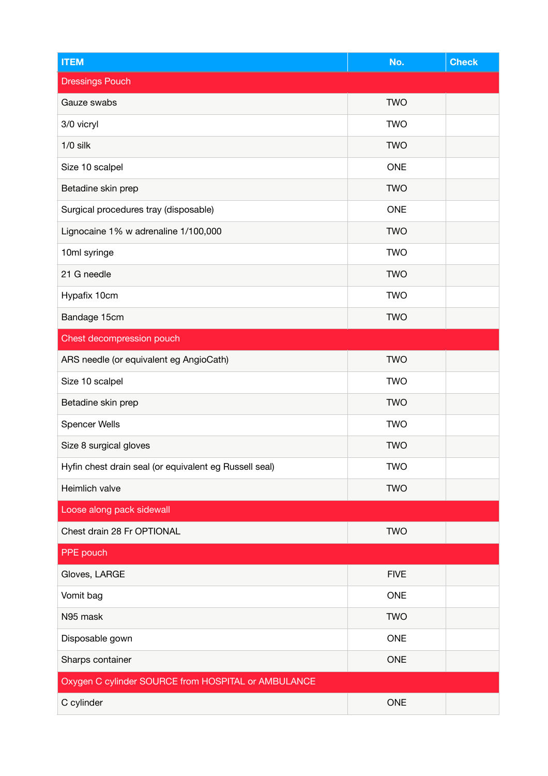| <b>ITEM</b>                                            | No.         | <b>Check</b> |
|--------------------------------------------------------|-------------|--------------|
| <b>Dressings Pouch</b>                                 |             |              |
| Gauze swabs                                            | <b>TWO</b>  |              |
| 3/0 vicryl                                             | <b>TWO</b>  |              |
| $1/0$ silk                                             | <b>TWO</b>  |              |
| Size 10 scalpel                                        | <b>ONE</b>  |              |
| Betadine skin prep                                     | <b>TWO</b>  |              |
| Surgical procedures tray (disposable)                  | <b>ONE</b>  |              |
| Lignocaine 1% w adrenaline 1/100,000                   | <b>TWO</b>  |              |
| 10ml syringe                                           | <b>TWO</b>  |              |
| 21 G needle                                            | <b>TWO</b>  |              |
| Hypafix 10cm                                           | <b>TWO</b>  |              |
| Bandage 15cm                                           | <b>TWO</b>  |              |
| Chest decompression pouch                              |             |              |
| ARS needle (or equivalent eg AngioCath)                | <b>TWO</b>  |              |
| Size 10 scalpel                                        | <b>TWO</b>  |              |
| Betadine skin prep                                     | <b>TWO</b>  |              |
| <b>Spencer Wells</b>                                   | <b>TWO</b>  |              |
| Size 8 surgical gloves                                 | <b>TWO</b>  |              |
| Hyfin chest drain seal (or equivalent eg Russell seal) | <b>TWO</b>  |              |
| Heimlich valve                                         | <b>TWO</b>  |              |
| Loose along pack sidewall                              |             |              |
| Chest drain 28 Fr OPTIONAL                             | <b>TWO</b>  |              |
| PPE pouch                                              |             |              |
| Gloves, LARGE                                          | <b>FIVE</b> |              |
| Vomit bag                                              | <b>ONE</b>  |              |
| N95 mask                                               | <b>TWO</b>  |              |
| Disposable gown                                        | <b>ONE</b>  |              |
| Sharps container                                       | <b>ONE</b>  |              |
| Oxygen C cylinder SOURCE from HOSPITAL or AMBULANCE    |             |              |
| C cylinder                                             | <b>ONE</b>  |              |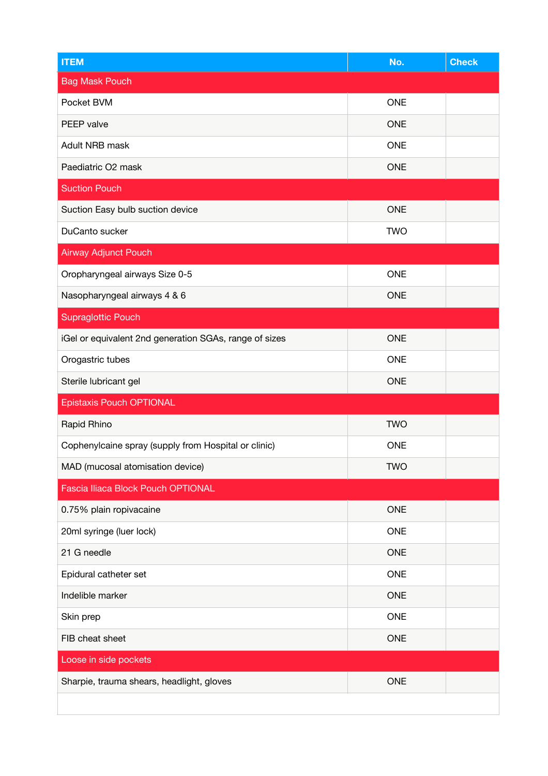| <b>ITEM</b>                                            | No.        | <b>Check</b> |
|--------------------------------------------------------|------------|--------------|
| <b>Bag Mask Pouch</b>                                  |            |              |
| Pocket BVM                                             | <b>ONE</b> |              |
| PEEP valve                                             | <b>ONE</b> |              |
| Adult NRB mask                                         | <b>ONE</b> |              |
| Paediatric O2 mask                                     | <b>ONE</b> |              |
| <b>Suction Pouch</b>                                   |            |              |
| Suction Easy bulb suction device                       | <b>ONE</b> |              |
| DuCanto sucker                                         | <b>TWO</b> |              |
| <b>Airway Adjunct Pouch</b>                            |            |              |
| Oropharyngeal airways Size 0-5                         | <b>ONE</b> |              |
| Nasopharyngeal airways 4 & 6                           | <b>ONE</b> |              |
| <b>Supraglottic Pouch</b>                              |            |              |
| iGel or equivalent 2nd generation SGAs, range of sizes | <b>ONE</b> |              |
| Orogastric tubes                                       | <b>ONE</b> |              |
| Sterile lubricant gel                                  | <b>ONE</b> |              |
| <b>Epistaxis Pouch OPTIONAL</b>                        |            |              |
| Rapid Rhino                                            | <b>TWO</b> |              |
| Cophenylcaine spray (supply from Hospital or clinic)   | <b>ONE</b> |              |
| MAD (mucosal atomisation device)                       | <b>TWO</b> |              |
| Fascia Iliaca Block Pouch OPTIONAL                     |            |              |
| 0.75% plain ropivacaine                                | <b>ONE</b> |              |
| 20ml syringe (luer lock)                               | <b>ONE</b> |              |
| 21 G needle                                            | <b>ONE</b> |              |
| Epidural catheter set                                  | <b>ONE</b> |              |
| Indelible marker                                       | <b>ONE</b> |              |
| Skin prep                                              | <b>ONE</b> |              |
| FIB cheat sheet                                        | <b>ONE</b> |              |
| Loose in side pockets                                  |            |              |
| Sharpie, trauma shears, headlight, gloves              | <b>ONE</b> |              |
|                                                        |            |              |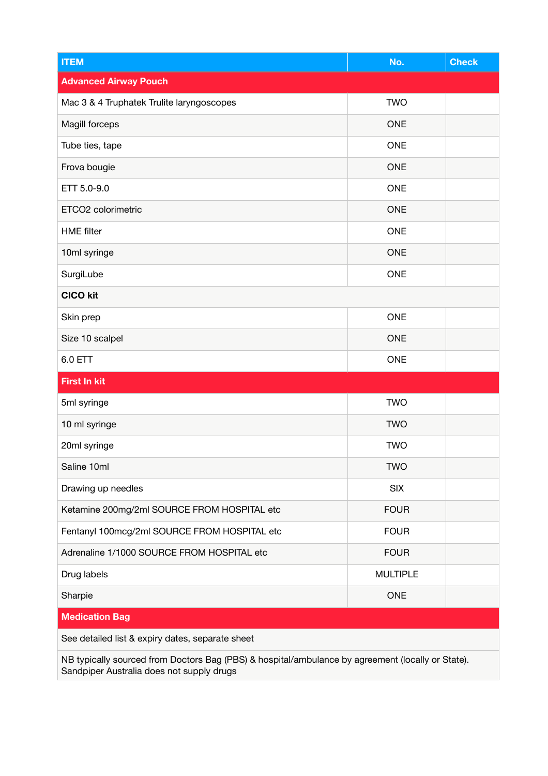| <b>ITEM</b>                                      | No.             | <b>Check</b> |
|--------------------------------------------------|-----------------|--------------|
| <b>Advanced Airway Pouch</b>                     |                 |              |
| Mac 3 & 4 Truphatek Trulite laryngoscopes        | <b>TWO</b>      |              |
| Magill forceps                                   | <b>ONE</b>      |              |
| Tube ties, tape                                  | <b>ONE</b>      |              |
| Frova bougie                                     | <b>ONE</b>      |              |
| ETT 5.0-9.0                                      | <b>ONE</b>      |              |
| ETCO2 colorimetric                               | <b>ONE</b>      |              |
| <b>HME</b> filter                                | <b>ONE</b>      |              |
| 10ml syringe                                     | <b>ONE</b>      |              |
| SurgiLube                                        | <b>ONE</b>      |              |
| <b>CICO kit</b>                                  |                 |              |
| Skin prep                                        | <b>ONE</b>      |              |
| Size 10 scalpel                                  | <b>ONE</b>      |              |
| 6.0 ETT                                          | <b>ONE</b>      |              |
| <b>First In kit</b>                              |                 |              |
| 5ml syringe                                      | <b>TWO</b>      |              |
| 10 ml syringe                                    | <b>TWO</b>      |              |
| 20ml syringe                                     | <b>TWO</b>      |              |
| Saline 10ml                                      | <b>TWO</b>      |              |
| Drawing up needles                               | <b>SIX</b>      |              |
| Ketamine 200mg/2ml SOURCE FROM HOSPITAL etc      | <b>FOUR</b>     |              |
| Fentanyl 100mcg/2ml SOURCE FROM HOSPITAL etc     | <b>FOUR</b>     |              |
| Adrenaline 1/1000 SOURCE FROM HOSPITAL etc       | <b>FOUR</b>     |              |
| Drug labels                                      | <b>MULTIPLE</b> |              |
| Sharpie                                          | <b>ONE</b>      |              |
| <b>Medication Bag</b>                            |                 |              |
| See detailed list & expiry dates, separate sheet |                 |              |

NB typically sourced from Doctors Bag (PBS) & hospital/ambulance by agreement (locally or State). Sandpiper Australia does not supply drugs